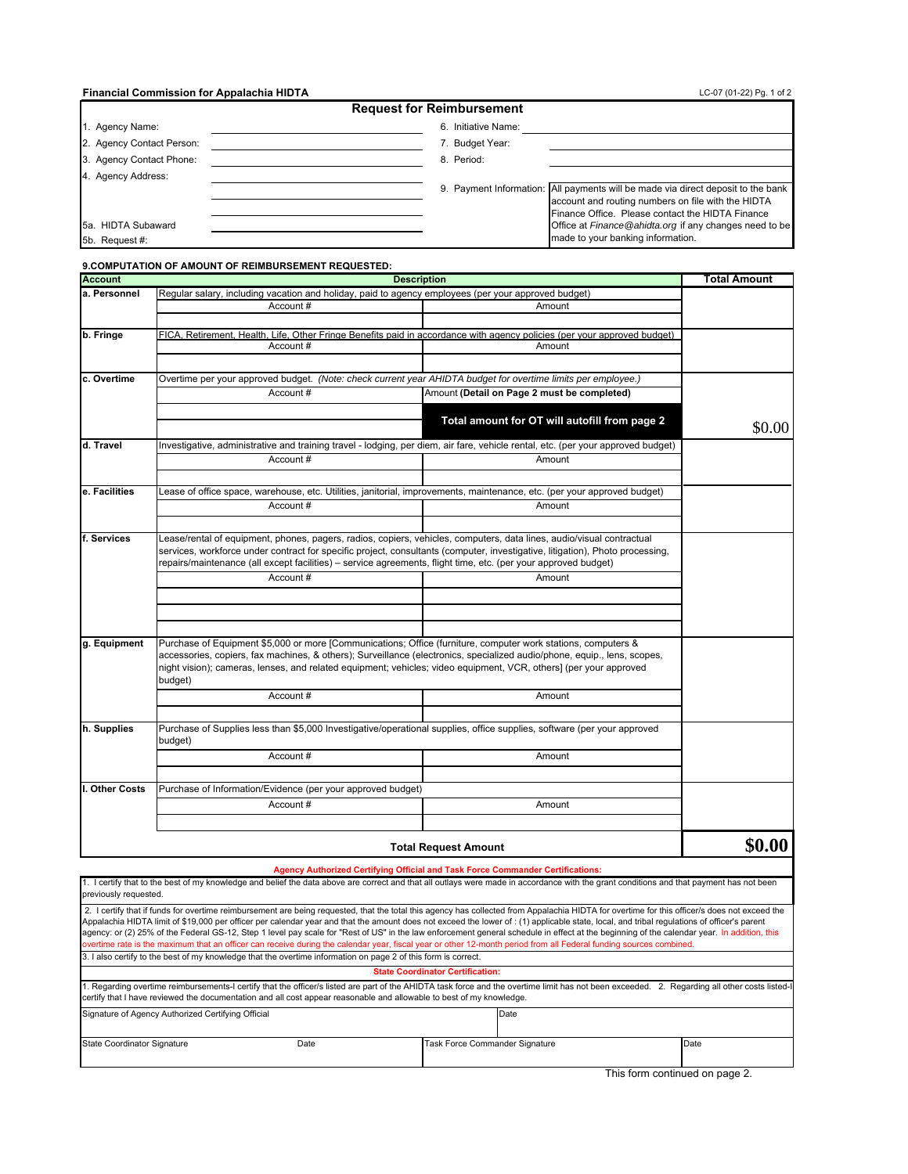#### **Financial Commission for Appalachia HIDTA**

| LC-07 (01-22) Pg. 1 of 2 |  |  |
|--------------------------|--|--|
|                          |  |  |

| <b>Request for Reimbursement</b> |                                                                                                                                                                                            |  |  |  |
|----------------------------------|--------------------------------------------------------------------------------------------------------------------------------------------------------------------------------------------|--|--|--|
| 1. Agency Name:                  | 6. Initiative Name:                                                                                                                                                                        |  |  |  |
| 2. Agency Contact Person:        | 7. Budget Year:                                                                                                                                                                            |  |  |  |
| 3. Agency Contact Phone:         | 8. Period:                                                                                                                                                                                 |  |  |  |
| 4. Agency Address:               |                                                                                                                                                                                            |  |  |  |
|                                  | 9. Payment Information: All payments will be made via direct deposit to the bank<br>account and routing numbers on file with the HIDTA<br>Finance Office. Please contact the HIDTA Finance |  |  |  |
| 5a. HIDTA Subaward               | Office at Finance @ahidta.org if any changes need to be                                                                                                                                    |  |  |  |
| 5b. Request #:                   | made to your banking information.                                                                                                                                                          |  |  |  |

### **9.COMPUTATION OF AMOUNT OF REIMBURSEMENT REQUESTED: Account Total Amount a. Personnel b. Fringe c. Overtime d. Travel e. Facilities f. Services g. Equipment h. Supplies I. Other Costs** Lease of office space, warehouse, etc. Utilities, janitorial, improvements, maintenance, etc. (per your approved budget) Amount Account # Account # Amount Lease/rental of equipment, phones, pagers, radios, copiers, vehicles, computers, data lines, audio/visual contractual services, workforce under contract for specific project, consultants (computer, investigative, litigation), Photo processing, repairs/maintenance (all except facilities) – service agreements, flight time, etc. (per your approved budget) Investigative, administrative and training travel - lodging, per diem, air fare, vehicle rental, etc. (per your approved budget) Account # Amount Account # Amount Amount Purchase of Supplies less than \$5,000 Investigative/operational supplies, office supplies, software (per your approved budget) Account # Account #  **Total amount for OT will autofill from page 2**  Overtime per your approved budget. *(Note: check current year AHIDTA budget for overtime limits per employee.)* Account # Amount Account # Amount **(Detail on Page 2 must be completed)** Amount FICA, Retirement, Health, Life, Other Fringe Benefits paid in accordance with agency policies (per your approved budget) **Description** Regular salary, including vacation and holiday, paid to agency employees (per your approved budget) **Agency Authorized Certifying Official and Task Force Commander Certifications:** Purchase of Equipment \$5,000 or more [Communications; Office (furniture, computer work stations, computers & accessories, copiers, fax machines, & others); Surveillance (electronics, specialized audio/phone, equip., lens, scopes, night vision); cameras, lenses, and related equipment; vehicles; video equipment, VCR, others] (per your approved budget) **Total Request Amount** Purchase of Information/Evidence (per your approved budget) Account # Amount \$0.00 **\$0.00**

| I certify that to the best of my knowledge and belief the data above are correct and that all outlays were made in accordance with the grant conditions and that payment has not been         |
|-----------------------------------------------------------------------------------------------------------------------------------------------------------------------------------------------|
| previously requested.                                                                                                                                                                         |
| 2. I certify that if funds for overtime reimbursement are being requested, that the total this agency has collected from Appalachia HIDTA for overtime for this officer/s does not exceed the |
| ia i i i imperio izazionano entre 1990 i ilizio di la 1990 i alla chiesa i internazionale indicata i indicata i                                                                               |

| Appalachia HIDTA limit of \$19,000 per officer per calendar year and that the amount does not exceed the lower of : (1) applicable state, local, and tribal regulations of officer's parent<br>agency: or (2) 25% of the Federal GS-12, Step 1 level pay scale for "Rest of US" in the law enforcement general schedule in effect at the beginning of the calendar year. In addition, this<br>overtime rate is the maximum that an officer can receive during the calendar year, fiscal year or other 12-month period from all Federal funding sources combined. |      |  |                                         |      |  |      |
|------------------------------------------------------------------------------------------------------------------------------------------------------------------------------------------------------------------------------------------------------------------------------------------------------------------------------------------------------------------------------------------------------------------------------------------------------------------------------------------------------------------------------------------------------------------|------|--|-----------------------------------------|------|--|------|
| 3. I also certify to the best of my knowledge that the overtime information on page 2 of this form is correct.                                                                                                                                                                                                                                                                                                                                                                                                                                                   |      |  |                                         |      |  |      |
|                                                                                                                                                                                                                                                                                                                                                                                                                                                                                                                                                                  |      |  | <b>State Coordinator Certification:</b> |      |  |      |
| 1. Regarding overtime reimbursements-I certify that the officer/s listed are part of the AHIDTA task force and the overtime limit has not been exceeded. 2. Regarding all other costs listed-I<br>certify that I have reviewed the documentation and all cost appear reasonable and allowable to best of my knowledge.                                                                                                                                                                                                                                           |      |  |                                         |      |  |      |
| Signature of Agency Authorized Certifying Official                                                                                                                                                                                                                                                                                                                                                                                                                                                                                                               |      |  |                                         | Date |  |      |
| State Coordinator Signature                                                                                                                                                                                                                                                                                                                                                                                                                                                                                                                                      | Date |  | Task Force Commander Signature          |      |  | Date |

This form continued on page 2.